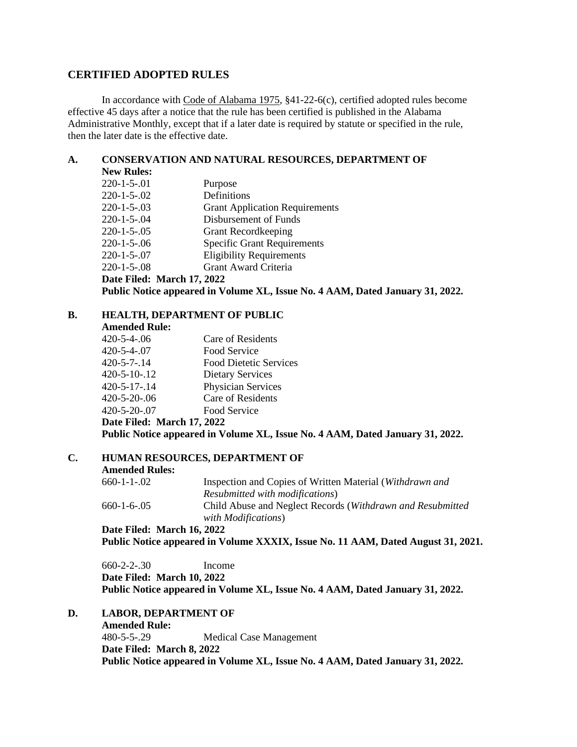## **CERTIFIED ADOPTED RULES**

In accordance with Code of Alabama 1975, §41-22-6(c), certified adopted rules become effective 45 days after a notice that the rule has been certified is published in the Alabama Administrative Monthly, except that if a later date is required by statute or specified in the rule, then the later date is the effective date.

#### **A. CONSERVATION AND NATURAL RESOURCES, DEPARTMENT OF**

| <b>New Rules:</b>                                                             |                                       |  |
|-------------------------------------------------------------------------------|---------------------------------------|--|
| $220 - 1 - 5 - 01$                                                            | Purpose                               |  |
| $220 - 1 - 5 - 02$                                                            | Definitions                           |  |
| $220 - 1 - 5 - 03$                                                            | <b>Grant Application Requirements</b> |  |
| $220 - 1 - 5 - 04$                                                            | Disbursement of Funds                 |  |
| $220 - 1 - 5 - 0.05$                                                          | <b>Grant Record keeping</b>           |  |
| $220 - 1 - 5 - 06$                                                            | <b>Specific Grant Requirements</b>    |  |
| $220 - 1 - 5 - 07$                                                            | <b>Eligibility Requirements</b>       |  |
| $220 - 1 - 5 - 0.08$                                                          | Grant Award Criteria                  |  |
| Date Filed: March 17, 2022                                                    |                                       |  |
| Public Notice appeared in Volume XL, Issue No. 4 AAM, Dated January 31, 2022. |                                       |  |
|                                                                               |                                       |  |

#### **B. HEALTH, DEPARTMENT OF PUBLIC**

**Amended Rule:**

| $\cdots$                   |                               |
|----------------------------|-------------------------------|
| $420 - 5 - 4 - 0.06$       | Care of Residents             |
| $420 - 5 - 4 - 07$         | Food Service                  |
| $420 - 5 - 7 - 14$         | <b>Food Dietetic Services</b> |
| $420 - 5 - 10 - 12$        | <b>Dietary Services</b>       |
| $420 - 5 - 17 - 14$        | Physician Services            |
| $420 - 5 - 20 - 0.06$      | Care of Residents             |
| $420 - 5 - 20 - 07$        | Food Service                  |
| Date Filed: March 17, 2022 |                               |
|                            |                               |

## **Public Notice appeared in Volume XL, Issue No. 4 AAM, Dated January 31, 2022.**

## **C. HUMAN RESOURCES, DEPARTMENT OF**

#### **Amended Rules:**

| $660 - 1 - 1 - 02$ | Inspection and Copies of Written Material (Withdrawn and           |
|--------------------|--------------------------------------------------------------------|
|                    | Resubmitted with modifications)                                    |
| $660 - 1 - 6 - 05$ | Child Abuse and Neglect Records ( <i>Withdrawn and Resubmitted</i> |
|                    | with Modifications)                                                |
| $\blacksquare$     |                                                                    |

**Date Filed: March 16, 2022 Public Notice appeared in Volume XXXIX, Issue No. 11 AAM, Dated August 31, 2021.**

660-2-2-.30 Income **Date Filed: March 10, 2022 Public Notice appeared in Volume XL, Issue No. 4 AAM, Dated January 31, 2022.**

**D. LABOR, DEPARTMENT OF**

**Amended Rule:** 480-5-5-.29 Medical Case Management **Date Filed: March 8, 2022 Public Notice appeared in Volume XL, Issue No. 4 AAM, Dated January 31, 2022.**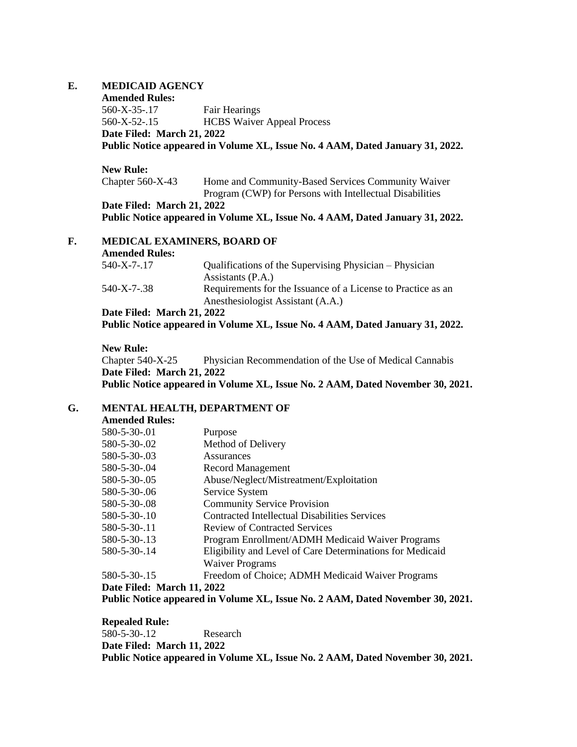#### **E. MEDICAID AGENCY**

**Amended Rules:** 560-X-35-.17 Fair Hearings 560-X-52-.15 HCBS Waiver Appeal Process **Date Filed: March 21, 2022**

**Public Notice appeared in Volume XL, Issue No. 4 AAM, Dated January 31, 2022.**

## **New Rule:**

Chapter 560-X-43 Home and Community-Based Services Community Waiver Program (CWP) for Persons with Intellectual Disabilities **Date Filed: March 21, 2022 Public Notice appeared in Volume XL, Issue No. 4 AAM, Dated January 31, 2022.**

#### **F. MEDICAL EXAMINERS, BOARD OF Amended Rules:**

| Amended Rules:             |                                                              |
|----------------------------|--------------------------------------------------------------|
| 540-X-7-.17                | Qualifications of the Supervising Physician – Physician      |
|                            | Assistants (P.A.)                                            |
| 540-X-7-.38                | Requirements for the Issuance of a License to Practice as an |
|                            | Anesthesiologist Assistant (A.A.)                            |
| Date Filed: March 21, 2022 |                                                              |

**Public Notice appeared in Volume XL, Issue No. 4 AAM, Dated January 31, 2022.**

# **New Rule:**

Chapter 540-X-25 Physician Recommendation of the Use of Medical Cannabis **Date Filed: March 21, 2022 Public Notice appeared in Volume XL, Issue No. 2 AAM, Dated November 30, 2021.**

## **G. MENTAL HEALTH, DEPARTMENT OF**

**Amended Rules:**

| 580-5-30-.01              | Purpose                                                   |
|---------------------------|-----------------------------------------------------------|
| 580-5-30-.02              | Method of Delivery                                        |
| 580-5-30-.03              | Assurances                                                |
| 580-5-30-.04              | Record Management                                         |
| 580-5-30-.05              | Abuse/Neglect/Mistreatment/Exploitation                   |
| 580-5-30-.06              | Service System                                            |
| 580-5-30-.08              | <b>Community Service Provision</b>                        |
| 580-5-30-.10              | Contracted Intellectual Disabilities Services             |
| 580-5-30-.11              | <b>Review of Contracted Services</b>                      |
| 580-5-30-.13              | Program Enrollment/ADMH Medicaid Waiver Programs          |
| 580-5-30-.14              | Eligibility and Level of Care Determinations for Medicaid |
|                           | <b>Waiver Programs</b>                                    |
| 580-5-30-.15              | Freedom of Choice; ADMH Medicaid Waiver Programs          |
| Dota Filad: Morah 11-2022 |                                                           |

**Date Filed: March 11, 2022**

**Public Notice appeared in Volume XL, Issue No. 2 AAM, Dated November 30, 2021.**

**Repealed Rule:** 580-5-30-.12 Research **Date Filed: March 11, 2022 Public Notice appeared in Volume XL, Issue No. 2 AAM, Dated November 30, 2021.**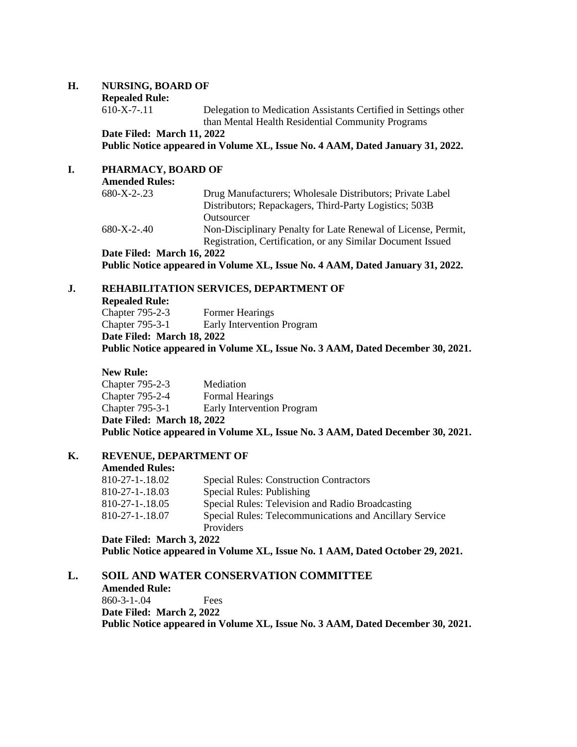#### **H. NURSING, BOARD OF**

# **Repealed Rule:**<br>610-X-7-.11

Delegation to Medication Assistants Certified in Settings other than Mental Health Residential Community Programs

**Date Filed: March 11, 2022**

**Public Notice appeared in Volume XL, Issue No. 4 AAM, Dated January 31, 2022.**

# **I. PHARMACY, BOARD OF**

| <b>Amended Rules:</b>      |                                                               |
|----------------------------|---------------------------------------------------------------|
| $680 - X - 2 - 23$         | Drug Manufacturers; Wholesale Distributors; Private Label     |
|                            | Distributors; Repackagers, Third-Party Logistics; 503B        |
|                            | Outsourcer                                                    |
| $680 - X - 2 - 40$         | Non-Disciplinary Penalty for Late Renewal of License, Permit, |
|                            | Registration, Certification, or any Similar Document Issued   |
| Date Filed: March 16, 2022 |                                                               |
|                            | <u>מממה מונית המונות ומדינות ומינות ומונות המ</u>             |

**Public Notice appeared in Volume XL, Issue No. 4 AAM, Dated January 31, 2022.**

## **J. REHABILITATION SERVICES, DEPARTMENT OF**

**Repealed Rule:**

Chapter 795-2-3 Former Hearings Chapter 795-3-1 Early Intervention Program **Date Filed: March 18, 2022**

**Public Notice appeared in Volume XL, Issue No. 3 AAM, Dated December 30, 2021.**

#### **New Rule:**

Chapter 795-2-3 Mediation Chapter 795-2-4 Formal Hearings Chapter 795-3-1 Early Intervention Program **Date Filed: March 18, 2022 Public Notice appeared in Volume XL, Issue No. 3 AAM, Dated December 30, 2021.**

#### **K. REVENUE, DEPARTMENT OF**

#### **Amended Rules:**

| $810 - 27 - 1 - 18.02$ | <b>Special Rules: Construction Contractors</b>          |
|------------------------|---------------------------------------------------------|
| $810 - 27 - 1 - 18.03$ | Special Rules: Publishing                               |
| 810-27-1-.18.05        | Special Rules: Television and Radio Broadcasting        |
| 810-27-1-.18.07        | Special Rules: Telecommunications and Ancillary Service |
|                        | <b>Providers</b>                                        |

**Date Filed: March 3, 2022**

**Public Notice appeared in Volume XL, Issue No. 1 AAM, Dated October 29, 2021.**

## **L. SOIL AND WATER CONSERVATION COMMITTEE**

**Amended Rule:** 860-3-1-.04 Fees **Date Filed: March 2, 2022 Public Notice appeared in Volume XL, Issue No. 3 AAM, Dated December 30, 2021.**